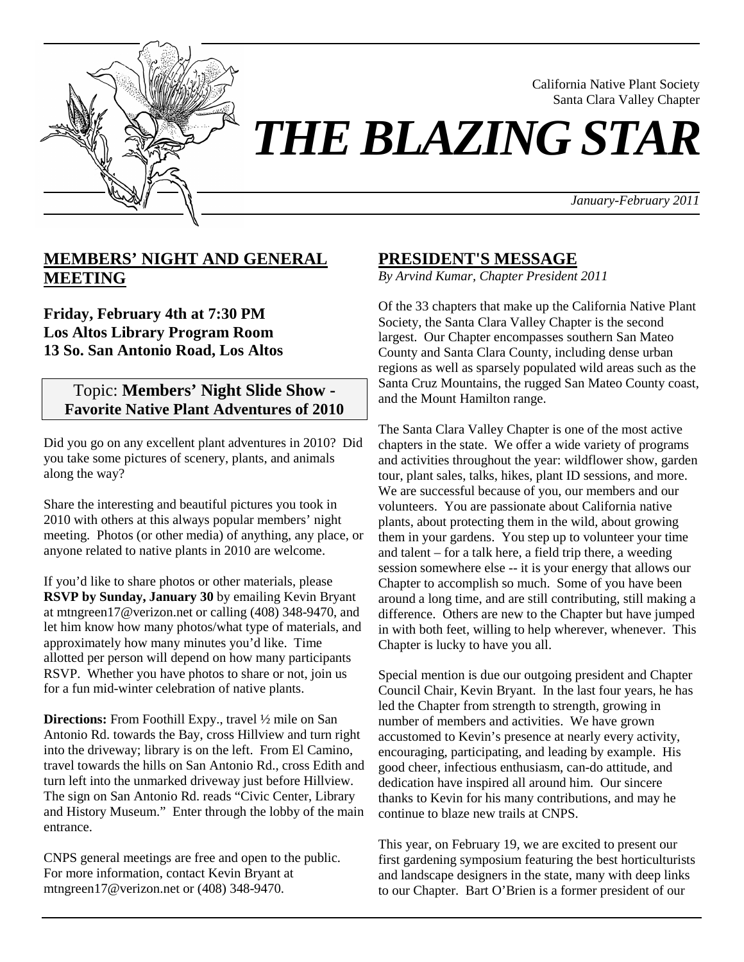

California Native Plant Society Santa Clara Valley Chapter

# *THE BLAZING STAR*

*January-February 2011*

# **MEMBERS' NIGHT AND GENERAL MEETING**

**Friday, February 4th at 7:30 PM Los Altos Library Program Room 13 So. San Antonio Road, Los Altos**

# Topic: **Members' Night Slide Show - Favorite Native Plant Adventures of 2010**

Did you go on any excellent plant adventures in 2010? Did you take some pictures of scenery, plants, and animals along the way?

Share the interesting and beautiful pictures you took in 2010 with others at this always popular members' night meeting. Photos (or other media) of anything, any place, or anyone related to native plants in 2010 are welcome.

If you'd like to share photos or other materials, please **RSVP by Sunday, January 30** by emailing Kevin Bryant at mtngreen17@verizon.net or calling (408) 348-9470, and let him know how many photos/what type of materials, and approximately how many minutes you'd like. Time allotted per person will depend on how many participants RSVP. Whether you have photos to share or not, join us for a fun mid-winter celebration of native plants.

**Directions:** From Foothill Expy., travel ½ mile on San Antonio Rd. towards the Bay, cross Hillview and turn right into the driveway; library is on the left. From El Camino, travel towards the hills on San Antonio Rd., cross Edith and turn left into the unmarked driveway just before Hillview. The sign on San Antonio Rd. reads "Civic Center, Library and History Museum." Enter through the lobby of the main entrance.

CNPS general meetings are free and open to the public. For more information, contact Kevin Bryant at mtngreen17@verizon.net or (408) 348-9470.

# **PRESIDENT'S MESSAGE**

*By Arvind Kumar, Chapter President 2011* 

Of the 33 chapters that make up the California Native Plant Society, the Santa Clara Valley Chapter is the second largest. Our Chapter encompasses southern San Mateo County and Santa Clara County, including dense urban regions as well as sparsely populated wild areas such as the Santa Cruz Mountains, the rugged San Mateo County coast, and the Mount Hamilton range.

The Santa Clara Valley Chapter is one of the most active chapters in the state. We offer a wide variety of programs and activities throughout the year: wildflower show, garden tour, plant sales, talks, hikes, plant ID sessions, and more. We are successful because of you, our members and our volunteers. You are passionate about California native plants, about protecting them in the wild, about growing them in your gardens. You step up to volunteer your time and talent – for a talk here, a field trip there, a weeding session somewhere else -- it is your energy that allows our Chapter to accomplish so much. Some of you have been around a long time, and are still contributing, still making a difference. Others are new to the Chapter but have jumped in with both feet, willing to help wherever, whenever. This Chapter is lucky to have you all.

Special mention is due our outgoing president and Chapter Council Chair, Kevin Bryant. In the last four years, he has led the Chapter from strength to strength, growing in number of members and activities. We have grown accustomed to Kevin's presence at nearly every activity, encouraging, participating, and leading by example. His good cheer, infectious enthusiasm, can-do attitude, and dedication have inspired all around him. Our sincere thanks to Kevin for his many contributions, and may he continue to blaze new trails at CNPS.

This year, on February 19, we are excited to present our first gardening symposium featuring the best horticulturists and landscape designers in the state, many with deep links to our Chapter. Bart O'Brien is a former president of our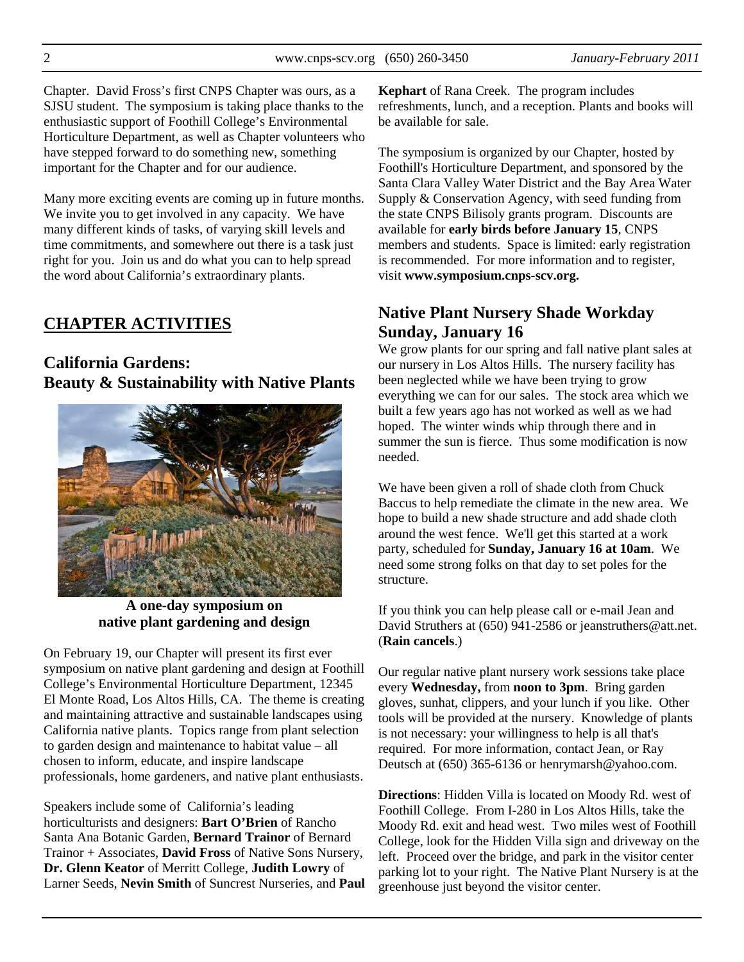Chapter. David Fross's first CNPS Chapter was ours, as a SJSU student. The symposium is taking place thanks to the enthusiastic support of Foothill College's Environmental Horticulture Department, as well as Chapter volunteers who have stepped forward to do something new, something important for the Chapter and for our audience.

Many more exciting events are coming up in future months. We invite you to get involved in any capacity. We have many different kinds of tasks, of varying skill levels and time commitments, and somewhere out there is a task just right for you. Join us and do what you can to help spread the word about California's extraordinary plants.

# **CHAPTER ACTIVITIES**

# **California Gardens: Beauty & Sustainability with Native Plants**



**A one-day symposium on native plant gardening and design** 

On February 19, our Chapter will present its first ever symposium on native plant gardening and design at Foothill College's Environmental Horticulture Department, 12345 El Monte Road, Los Altos Hills, CA. The theme is creating and maintaining attractive and sustainable landscapes using California native plants. Topics range from plant selection to garden design and maintenance to habitat value – all chosen to inform, educate, and inspire landscape professionals, home gardeners, and native plant enthusiasts.

Speakers include some of California's leading horticulturists and designers: **Bart O'Brien** of Rancho Santa Ana Botanic Garden, **Bernard Trainor** of Bernard Trainor + Associates, **David Fross** of Native Sons Nursery, **Dr. Glenn Keator** of Merritt College, **Judith Lowry** of Larner Seeds, **Nevin Smith** of Suncrest Nurseries, and **Paul**  **Kephart** of Rana Creek. The program includes refreshments, lunch, and a reception. Plants and books will be available for sale.

The symposium is organized by our Chapter, hosted by Foothill's Horticulture Department, and sponsored by the Santa Clara Valley Water District and the Bay Area Water Supply & Conservation Agency, with seed funding from the state CNPS Bilisoly grants program. Discounts are available for **early birds before January 15**, CNPS members and students. Space is limited: early registration is recommended. For more information and to register, visit **www.symposium.cnps-scv.org.**

# **Native Plant Nursery Shade Workday Sunday, January 16**

We grow plants for our spring and fall native plant sales at our nursery in Los Altos Hills. The nursery facility has been neglected while we have been trying to grow everything we can for our sales. The stock area which we built a few years ago has not worked as well as we had hoped. The winter winds whip through there and in summer the sun is fierce. Thus some modification is now needed.

We have been given a roll of shade cloth from Chuck Baccus to help remediate the climate in the new area. We hope to build a new shade structure and add shade cloth around the west fence. We'll get this started at a work party, scheduled for **Sunday, January 16 at 10am**. We need some strong folks on that day to set poles for the structure.

If you think you can help please call or e-mail Jean and David Struthers at (650) 941-2586 or jeanstruthers@att.net. (**Rain cancels**.)

Our regular native plant nursery work sessions take place every **Wednesday,** from **noon to 3pm**. Bring garden gloves, sunhat, clippers, and your lunch if you like. Other tools will be provided at the nursery. Knowledge of plants is not necessary: your willingness to help is all that's required. For more information, contact Jean, or Ray Deutsch at (650) 365-6136 or henrymarsh@yahoo.com.

**Directions**: Hidden Villa is located on Moody Rd. west of Foothill College. From I-280 in Los Altos Hills, take the Moody Rd. exit and head west. Two miles west of Foothill College, look for the Hidden Villa sign and driveway on the left. Proceed over the bridge, and park in the visitor center parking lot to your right. The Native Plant Nursery is at the greenhouse just beyond the visitor center.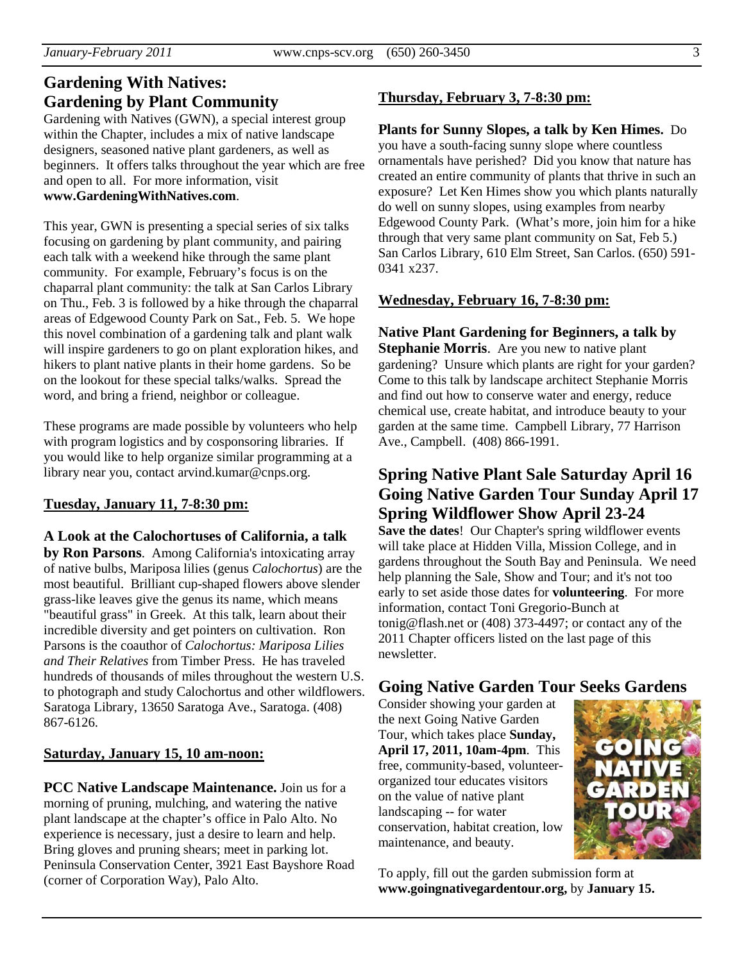# **Gardening With Natives: Gardening by Plant Community**

Gardening with Natives (GWN), a special interest group within the Chapter, includes a mix of native landscape designers, seasoned native plant gardeners, as well as beginners. It offers talks throughout the year which are free and open to all. For more information, visit **www.GardeningWithNatives.com**.

This year, GWN is presenting a special series of six talks focusing on gardening by plant community, and pairing each talk with a weekend hike through the same plant community. For example, February's focus is on the chaparral plant community: the talk at San Carlos Library on Thu., Feb. 3 is followed by a hike through the chaparral areas of Edgewood County Park on Sat., Feb. 5. We hope this novel combination of a gardening talk and plant walk will inspire gardeners to go on plant exploration hikes, and hikers to plant native plants in their home gardens. So be on the lookout for these special talks/walks. Spread the word, and bring a friend, neighbor or colleague.

These programs are made possible by volunteers who help with program logistics and by cosponsoring libraries. If you would like to help organize similar programming at a library near you, contact arvind.kumar@cnps.org.

## **Tuesday, January 11, 7-8:30 pm:**

#### **A Look at the Calochortuses of California, a talk**

**by Ron Parsons**. Among California's intoxicating array of native bulbs, Mariposa lilies (genus *Calochortus*) are the most beautiful. Brilliant cup-shaped flowers above slender grass-like leaves give the genus its name, which means "beautiful grass" in Greek. At this talk, learn about their incredible diversity and get pointers on cultivation. Ron Parsons is the coauthor of *Calochortus: Mariposa Lilies and Their Relatives* from Timber Press. He has traveled hundreds of thousands of miles throughout the western U.S. to photograph and study Calochortus and other wildflowers. Saratoga Library, 13650 Saratoga Ave., Saratoga. (408) 867-6126.

#### **Saturday, January 15, 10 am-noon:**

**PCC Native Landscape Maintenance.** Join us for a morning of pruning, mulching, and watering the native plant landscape at the chapter's office in Palo Alto. No experience is necessary, just a desire to learn and help. Bring gloves and pruning shears; meet in parking lot. Peninsula Conservation Center, 3921 East Bayshore Road (corner of Corporation Way), Palo Alto.

#### **Thursday, February 3, 7-8:30 pm:**

#### **Plants for Sunny Slopes, a talk by Ken Himes.** Do

you have a south-facing sunny slope where countless ornamentals have perished? Did you know that nature has created an entire community of plants that thrive in such an exposure? Let Ken Himes show you which plants naturally do well on sunny slopes, using examples from nearby Edgewood County Park. (What's more, join him for a hike through that very same plant community on Sat, Feb 5.) San Carlos Library, 610 Elm Street, San Carlos. (650) 591- 0341 x237.

#### **Wednesday, February 16, 7-8:30 pm:**

**Native Plant Gardening for Beginners, a talk by Stephanie Morris**. Are you new to native plant gardening? Unsure which plants are right for your garden? Come to this talk by landscape architect Stephanie Morris and find out how to conserve water and energy, reduce chemical use, create habitat, and introduce beauty to your garden at the same time. Campbell Library, 77 Harrison Ave., Campbell. (408) 866-1991.

# **Spring Native Plant Sale Saturday April 16 Going Native Garden Tour Sunday April 17 Spring Wildflower Show April 23-24**

**Save the dates**! Our Chapter's spring wildflower events will take place at Hidden Villa, Mission College, and in gardens throughout the South Bay and Peninsula. We need help planning the Sale, Show and Tour; and it's not too early to set aside those dates for **volunteering**. For more information, contact Toni Gregorio-Bunch at tonig@flash.net or (408) 373-4497; or contact any of the 2011 Chapter officers listed on the last page of this newsletter.

# **Going Native Garden Tour Seeks Gardens**

Consider showing your garden at the next Going Native Garden Tour, which takes place **Sunday, April 17, 2011, 10am-4pm**. This free, community-based, volunteerorganized tour educates visitors on the value of native plant landscaping -- for water conservation, habitat creation, low maintenance, and beauty.



To apply, fill out the garden submission form at **www.goingnativegardentour.org,** by **January 15.**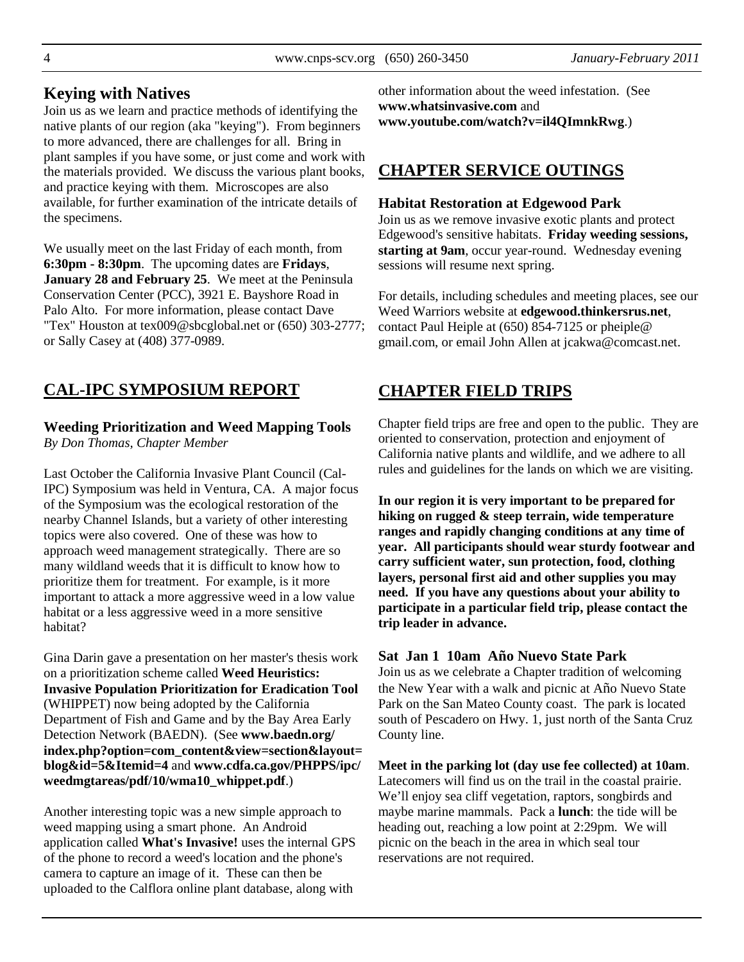Join us as we learn and practice methods of identifying the native plants of our region (aka "keying"). From beginners to more advanced, there are challenges for all. Bring in plant samples if you have some, or just come and work with the materials provided. We discuss the various plant books, and practice keying with them. Microscopes are also available, for further examination of the intricate details of the specimens.

We usually meet on the last Friday of each month, from **6:30pm - 8:30pm**. The upcoming dates are **Fridays**, **January 28 and February 25**. We meet at the Peninsula Conservation Center (PCC), 3921 E. Bayshore Road in Palo Alto. For more information, please contact Dave "Tex" Houston at tex009@sbcglobal.net or (650) 303-2777; or Sally Casey at (408) 377-0989.

# **CAL-IPC SYMPOSIUM REPORT**

# **Weeding Prioritization and Weed Mapping Tools**

*By Don Thomas, Chapter Member* 

Last October the California Invasive Plant Council (Cal-IPC) Symposium was held in Ventura, CA. A major focus of the Symposium was the ecological restoration of the nearby Channel Islands, but a variety of other interesting topics were also covered. One of these was how to approach weed management strategically. There are so many wildland weeds that it is difficult to know how to prioritize them for treatment. For example, is it more important to attack a more aggressive weed in a low value habitat or a less aggressive weed in a more sensitive habitat?

Gina Darin gave a presentation on her master's thesis work on a prioritization scheme called **Weed Heuristics: Invasive Population Prioritization for Eradication Tool** (WHIPPET) now being adopted by the California Department of Fish and Game and by the Bay Area Early Detection Network (BAEDN). (See **www.baedn.org/ index.php?option=com\_content&view=section&layout= blog&id=5&Itemid=4** and **www.cdfa.ca.gov/PHPPS/ipc/ weedmgtareas/pdf/10/wma10\_whippet.pdf**.)

Another interesting topic was a new simple approach to weed mapping using a smart phone. An Android application called **What's Invasive!** uses the internal GPS of the phone to record a weed's location and the phone's camera to capture an image of it. These can then be uploaded to the Calflora online plant database, along with

other information about the weed infestation. (See **www.whatsinvasive.com** and **www.youtube.com/watch?v=il4QImnkRwg**.)

# **CHAPTER SERVICE OUTINGS**

#### **Habitat Restoration at Edgewood Park**

Join us as we remove invasive exotic plants and protect Edgewood's sensitive habitats. **Friday weeding sessions, starting at 9am**, occur year-round. Wednesday evening sessions will resume next spring.

For details, including schedules and meeting places, see our Weed Warriors website at **edgewood.thinkersrus.net**, contact Paul Heiple at (650) 854-7125 or pheiple@ gmail.com, or email John Allen at jcakwa@comcast.net.

# **CHAPTER FIELD TRIPS**

Chapter field trips are free and open to the public. They are oriented to conservation, protection and enjoyment of California native plants and wildlife, and we adhere to all rules and guidelines for the lands on which we are visiting.

**In our region it is very important to be prepared for hiking on rugged & steep terrain, wide temperature ranges and rapidly changing conditions at any time of year. All participants should wear sturdy footwear and carry sufficient water, sun protection, food, clothing layers, personal first aid and other supplies you may need. If you have any questions about your ability to participate in a particular field trip, please contact the trip leader in advance.** 

#### **Sat Jan 1 10am Año Nuevo State Park**

Join us as we celebrate a Chapter tradition of welcoming the New Year with a walk and picnic at Año Nuevo State Park on the San Mateo County coast. The park is located south of Pescadero on Hwy. 1, just north of the Santa Cruz County line.

**Meet in the parking lot (day use fee collected) at 10am**. Latecomers will find us on the trail in the coastal prairie. We'll enjoy sea cliff vegetation, raptors, songbirds and maybe marine mammals. Pack a **lunch**: the tide will be heading out, reaching a low point at 2:29pm. We will picnic on the beach in the area in which seal tour reservations are not required.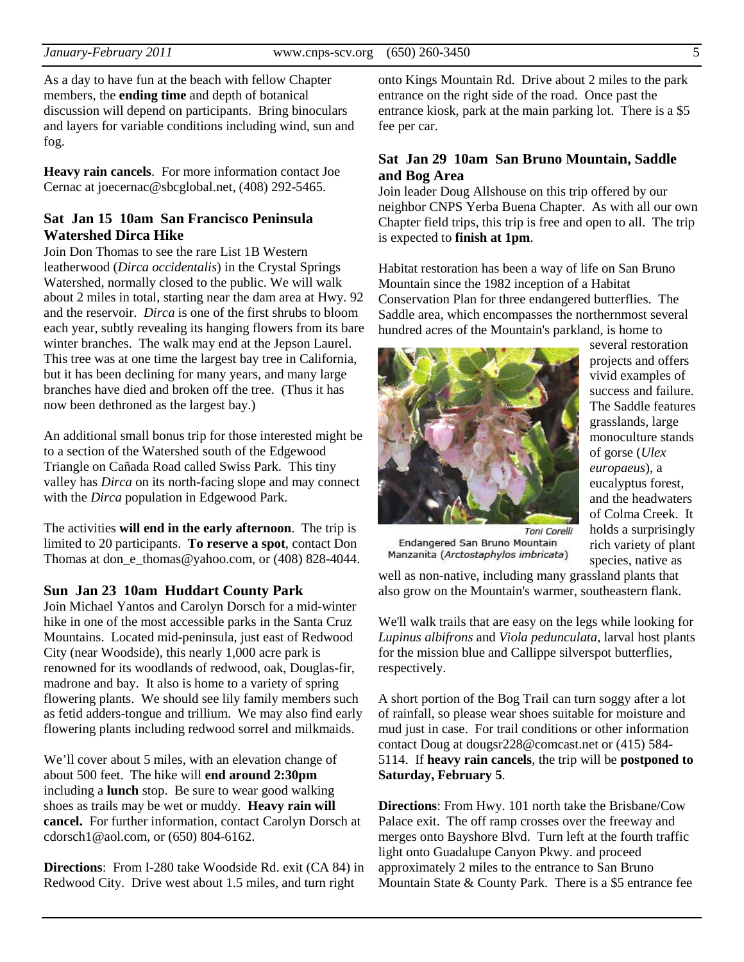As a day to have fun at the beach with fellow Chapter members, the **ending time** and depth of botanical discussion will depend on participants. Bring binoculars and layers for variable conditions including wind, sun and fog.

**Heavy rain cancels**. For more information contact Joe Cernac at joecernac@sbcglobal.net, (408) 292-5465.

#### **Sat Jan 15 10am San Francisco Peninsula Watershed Dirca Hike**

Join Don Thomas to see the rare List 1B Western leatherwood (*Dirca occidentalis*) in the Crystal Springs Watershed, normally closed to the public. We will walk about 2 miles in total, starting near the dam area at Hwy. 92 and the reservoir. *Dirca* is one of the first shrubs to bloom each year, subtly revealing its hanging flowers from its bare winter branches. The walk may end at the Jepson Laurel. This tree was at one time the largest bay tree in California, but it has been declining for many years, and many large branches have died and broken off the tree. (Thus it has now been dethroned as the largest bay.)

An additional small bonus trip for those interested might be to a section of the Watershed south of the Edgewood Triangle on Cañada Road called Swiss Park. This tiny valley has *Dirca* on its north-facing slope and may connect with the *Dirca* population in Edgewood Park.

The activities **will end in the early afternoon**. The trip is limited to 20 participants. **To reserve a spot**, contact Don Thomas at don\_e\_thomas@yahoo.com, or (408) 828-4044.

#### **Sun Jan 23 10am Huddart County Park**

Join Michael Yantos and Carolyn Dorsch for a mid-winter hike in one of the most accessible parks in the Santa Cruz Mountains. Located mid-peninsula, just east of Redwood City (near Woodside), this nearly 1,000 acre park is renowned for its woodlands of redwood, oak, Douglas-fir, madrone and bay. It also is home to a variety of spring flowering plants. We should see lily family members such as fetid adders-tongue and trillium. We may also find early flowering plants including redwood sorrel and milkmaids.

We'll cover about 5 miles, with an elevation change of about 500 feet. The hike will **end around 2:30pm** including a **lunch** stop. Be sure to wear good walking shoes as trails may be wet or muddy. **Heavy rain will cancel.** For further information, contact Carolyn Dorsch at cdorsch1@aol.com, or (650) 804-6162.

**Directions**: From I-280 take Woodside Rd. exit (CA 84) in Redwood City. Drive west about 1.5 miles, and turn right

onto Kings Mountain Rd. Drive about 2 miles to the park entrance on the right side of the road. Once past the entrance kiosk, park at the main parking lot. There is a \$5 fee per car.

#### **Sat Jan 29 10am San Bruno Mountain, Saddle and Bog Area**

Join leader Doug Allshouse on this trip offered by our neighbor CNPS Yerba Buena Chapter. As with all our own Chapter field trips, this trip is free and open to all. The trip is expected to **finish at 1pm**.

Habitat restoration has been a way of life on San Bruno Mountain since the 1982 inception of a Habitat Conservation Plan for three endangered butterflies. The Saddle area, which encompasses the northernmost several hundred acres of the Mountain's parkland, is home to



several restoration projects and offers vivid examples of success and failure. The Saddle features grasslands, large monoculture stands of gorse (*Ulex europaeus*), a eucalyptus forest, and the headwaters of Colma Creek. It holds a surprisingly rich variety of plant species, native as

Endangered San Bruno Mountain Manzanita (Arctostaphylos imbricata)

well as non-native, including many grassland plants that also grow on the Mountain's warmer, southeastern flank.

We'll walk trails that are easy on the legs while looking for *Lupinus albifrons* and *Viola pedunculata*, larval host plants for the mission blue and Callippe silverspot butterflies, respectively.

A short portion of the Bog Trail can turn soggy after a lot of rainfall, so please wear shoes suitable for moisture and mud just in case. For trail conditions or other information contact Doug at dougsr228@comcast.net or (415) 584- 5114. If **heavy rain cancels**, the trip will be **postponed to Saturday, February 5**.

**Directions**: From Hwy. 101 north take the Brisbane/Cow Palace exit. The off ramp crosses over the freeway and merges onto Bayshore Blvd. Turn left at the fourth traffic light onto Guadalupe Canyon Pkwy. and proceed approximately 2 miles to the entrance to San Bruno Mountain State & County Park. There is a \$5 entrance fee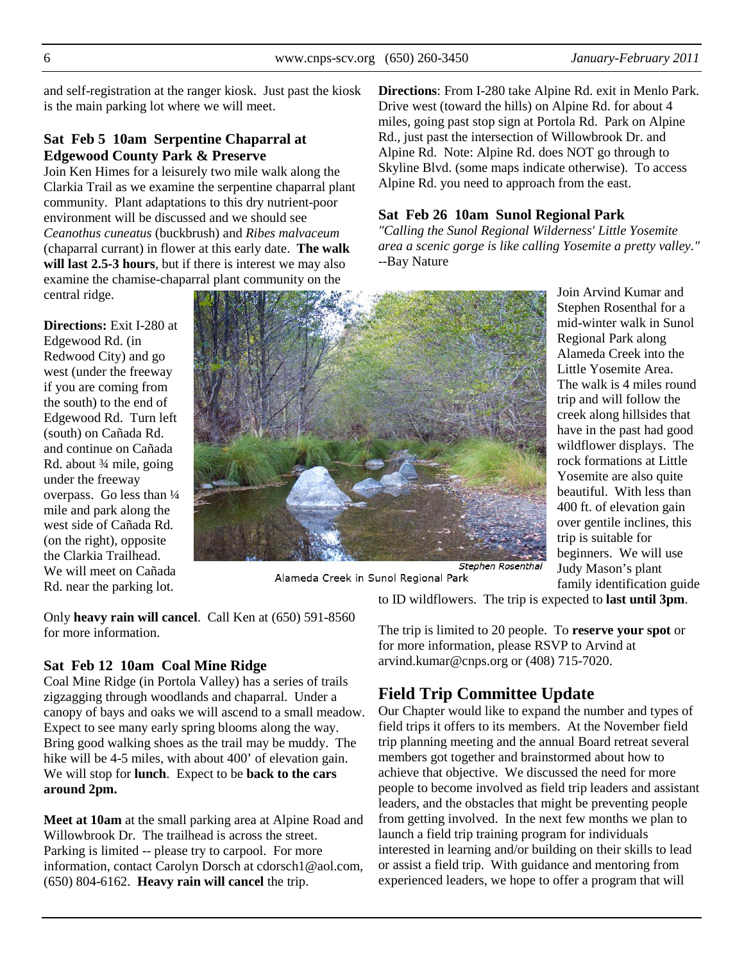and self-registration at the ranger kiosk. Just past the kiosk is the main parking lot where we will meet.

# **Sat Feb 5 10am Serpentine Chaparral at Edgewood County Park & Preserve**

Join Ken Himes for a leisurely two mile walk along the Clarkia Trail as we examine the serpentine chaparral plant community. Plant adaptations to this dry nutrient-poor environment will be discussed and we should see *Ceanothus cuneatus* (buckbrush) and *Ribes malvaceum* (chaparral currant) in flower at this early date. **The walk will last 2.5-3 hours**, but if there is interest we may also examine the chamise-chaparral plant community on the central ridge.

**Directions:** Exit I-280 at

Edgewood Rd. (in Redwood City) and go west (under the freeway if you are coming from the south) to the end of Edgewood Rd. Turn left (south) on Cañada Rd. and continue on Cañada Rd. about ¾ mile, going under the freeway overpass. Go less than ¼ mile and park along the west side of Cañada Rd. (on the right), opposite the Clarkia Trailhead. We will meet on Cañada Rd. near the parking lot.



Alameda Creek in Sunol Regional Park

Only **heavy rain will cancel**. Call Ken at (650) 591-8560 for more information.

## **Sat Feb 12 10am Coal Mine Ridge**

Coal Mine Ridge (in Portola Valley) has a series of trails zigzagging through woodlands and chaparral. Under a canopy of bays and oaks we will ascend to a small meadow. Expect to see many early spring blooms along the way. Bring good walking shoes as the trail may be muddy. The hike will be 4-5 miles, with about 400' of elevation gain. We will stop for **lunch**. Expect to be **back to the cars around 2pm.** 

**Meet at 10am** at the small parking area at Alpine Road and Willowbrook Dr. The trailhead is across the street. Parking is limited -- please try to carpool. For more information, contact Carolyn Dorsch at cdorsch1@aol.com, (650) 804-6162. **Heavy rain will cancel** the trip.

**Directions**: From I-280 take Alpine Rd. exit in Menlo Park. Drive west (toward the hills) on Alpine Rd. for about 4 miles, going past stop sign at Portola Rd. Park on Alpine Rd., just past the intersection of Willowbrook Dr. and Alpine Rd. Note: Alpine Rd. does NOT go through to Skyline Blvd. (some maps indicate otherwise). To access Alpine Rd. you need to approach from the east.

# **Sat Feb 26 10am Sunol Regional Park**

*"Calling the Sunol Regional Wilderness' Little Yosemite area a scenic gorge is like calling Yosemite a pretty valley."* --Bay Nature

> Join Arvind Kumar and Stephen Rosenthal for a mid-winter walk in Sunol Regional Park along Alameda Creek into the Little Yosemite Area. The walk is 4 miles round trip and will follow the creek along hillsides that have in the past had good wildflower displays. The rock formations at Little Yosemite are also quite beautiful. With less than 400 ft. of elevation gain over gentile inclines, this trip is suitable for beginners. We will use Judy Mason's plant family identification guide

to ID wildflowers. The trip is expected to **last until 3pm**.

The trip is limited to 20 people. To **reserve your spot** or for more information, please RSVP to Arvind at arvind.kumar@cnps.org or (408) 715-7020.

# **Field Trip Committee Update**

Our Chapter would like to expand the number and types of field trips it offers to its members. At the November field trip planning meeting and the annual Board retreat several members got together and brainstormed about how to achieve that objective. We discussed the need for more people to become involved as field trip leaders and assistant leaders, and the obstacles that might be preventing people from getting involved. In the next few months we plan to launch a field trip training program for individuals interested in learning and/or building on their skills to lead or assist a field trip. With guidance and mentoring from experienced leaders, we hope to offer a program that will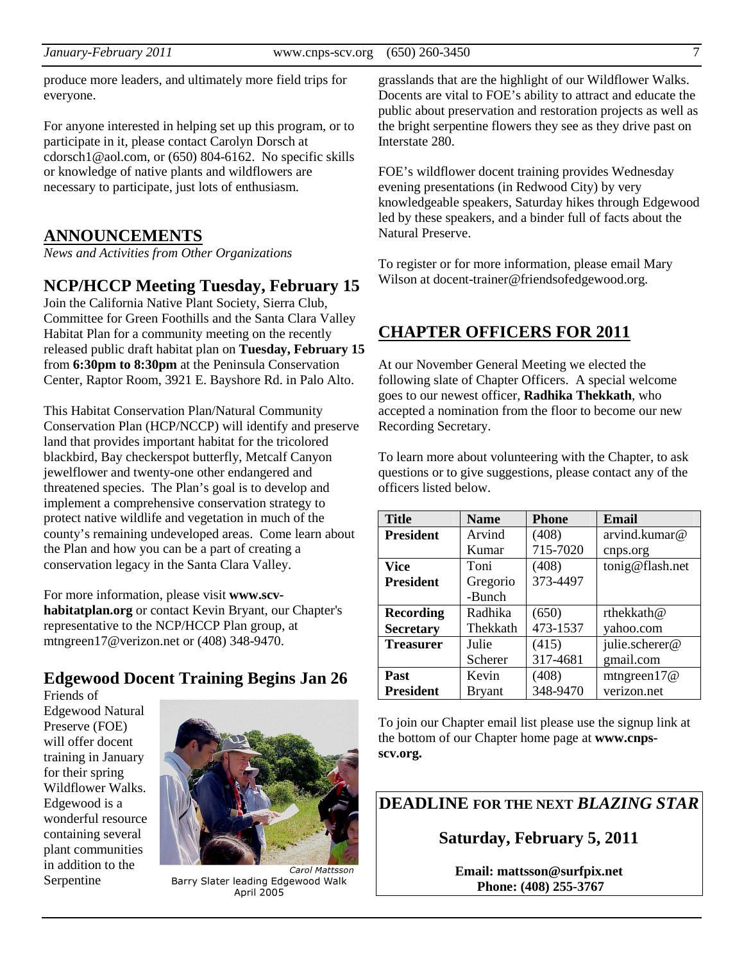*January-February 2011* www.cnps-scv.org (650) 260-3450 7

produce more leaders, and ultimately more field trips for everyone.

For anyone interested in helping set up this program, or to participate in it, please contact Carolyn Dorsch at cdorsch1@aol.com, or (650) 804-6162. No specific skills or knowledge of native plants and wildflowers are necessary to participate, just lots of enthusiasm.

# **ANNOUNCEMENTS**

*News and Activities from Other Organizations*

# **NCP/HCCP Meeting Tuesday, February 15**

Join the California Native Plant Society, Sierra Club, Committee for Green Foothills and the Santa Clara Valley Habitat Plan for a community meeting on the recently released public draft habitat plan on **Tuesday, February 15** from **6:30pm to 8:30pm** at the Peninsula Conservation Center, Raptor Room, 3921 E. Bayshore Rd. in Palo Alto.

This Habitat Conservation Plan/Natural Community Conservation Plan (HCP/NCCP) will identify and preserve land that provides important habitat for the tricolored blackbird, Bay checkerspot butterfly, Metcalf Canyon jewelflower and twenty-one other endangered and threatened species. The Plan's goal is to develop and implement a comprehensive conservation strategy to protect native wildlife and vegetation in much of the county's remaining undeveloped areas. Come learn about the Plan and how you can be a part of creating a conservation legacy in the Santa Clara Valley.

For more information, please visit **www.scvhabitatplan.org** or contact Kevin Bryant, our Chapter's representative to the NCP/HCCP Plan group, at mtngreen17@verizon.net or (408) 348-9470.

# **Edgewood Docent Training Begins Jan 26**

Friends of Edgewood Natural Preserve (FOE) will offer docent training in January for their spring Wildflower Walks. Edgewood is a wonderful resource containing several plant communities in addition to the Serpentine



Carol Mattsson Barry Slater leading Edgewood Walk April 2005

grasslands that are the highlight of our Wildflower Walks. Docents are vital to FOE's ability to attract and educate the public about preservation and restoration projects as well as the bright serpentine flowers they see as they drive past on Interstate 280.

FOE's wildflower docent training provides Wednesday evening presentations (in Redwood City) by very knowledgeable speakers, Saturday hikes through Edgewood led by these speakers, and a binder full of facts about the Natural Preserve.

To register or for more information, please email Mary Wilson at docent-trainer@friendsofedgewood.org.

# **CHAPTER OFFICERS FOR 2011**

At our November General Meeting we elected the following slate of Chapter Officers. A special welcome goes to our newest officer, **Radhika Thekkath**, who accepted a nomination from the floor to become our new Recording Secretary.

To learn more about volunteering with the Chapter, to ask questions or to give suggestions, please contact any of the officers listed below.

| <b>Title</b>     | <b>Name</b> | <b>Phone</b> | Email           |
|------------------|-------------|--------------|-----------------|
| <b>President</b> | Arvind      | (408)        | arvind.kumar@   |
|                  | Kumar       | 715-7020     | cnps.org        |
| <b>Vice</b>      | Toni        | (408)        | tonig@flash.net |
| <b>President</b> | Gregorio    | 373-4497     |                 |
|                  | -Bunch      |              |                 |
| <b>Recording</b> | Radhika     | (650)        | rthekkath@      |
| <b>Secretary</b> | Thekkath    | 473-1537     | yahoo.com       |
| <b>Treasurer</b> | Julie       | (415)        | julie.scherer@  |
|                  | Scherer     | 317-4681     | gmail.com       |
| Past             | Kevin       | (408)        | mtngreen $17@$  |
| <b>President</b> | Bryant      | 348-9470     | verizon.net     |

To join our Chapter email list please use the signup link at the bottom of our Chapter home page at **www.cnpsscv.org.** 

**DEADLINE FOR THE NEXT** *BLAZING STAR* 

**Saturday, February 5, 2011** 

**Email: mattsson@surfpix.net Phone: (408) 255-3767**